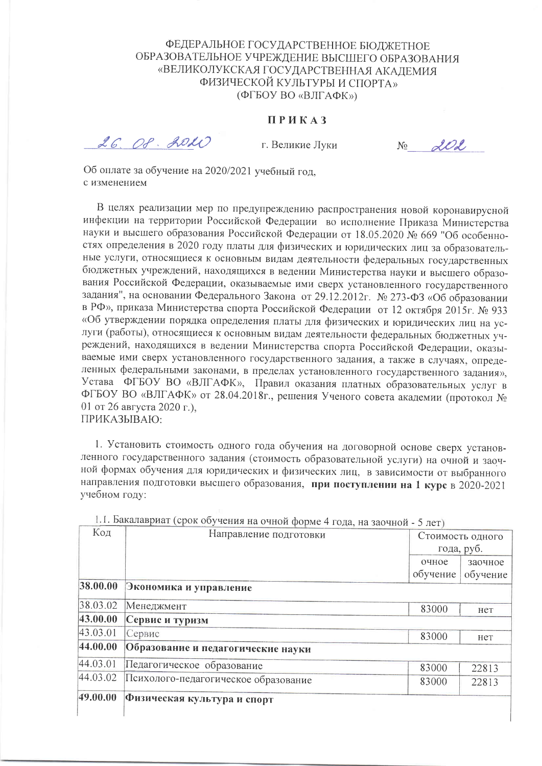### ФЕДЕРАЛЬНОЕ ГОСУДАРСТВЕННОЕ БЮЛЖЕТНОЕ ОБРАЗОВАТЕЛЬНОЕ УЧРЕЖДЕНИЕ ВЫСШЕГО ОБРАЗОВАНИЯ «ВЕЛИКОЛУКСКАЯ ГОСУДАРСТВЕННАЯ АКАЛЕМИЯ ФИЗИЧЕСКОЙ КУЛЬТУРЫ И СПОРТА» (ФГБОУ ВО «ВЛГАФК»)

#### ПРИКАЗ

26. 08. 2020

г. Великие Луки

 $202$  $N<sub>0</sub>$ 

Об оплате за обучение на 2020/2021 учебный год, с изменением

В целях реализации мер по предупреждению распространения новой коронавирусной инфекции на территории Российской Федерации во исполнение Приказа Министерства науки и высшего образования Российской Федерации от 18.05.2020 № 669 "Об особенностях определения в 2020 году платы для физических и юридических лиц за образовательные услуги, относящиеся к основным видам деятельности федеральных государственных бюджетных учреждений, находящихся в ведении Министерства науки и высшего образования Российской Федерации, оказываемые ими сверх установленного государственного задания", на основании Федерального Закона от 29.12.2012г. № 273-ФЗ «Об образовании в РФ», приказа Министерства спорта Российской Федерации от 12 октября 2015г. № 933 «Об утверждении порядка определения платы для физических и юридических лиц на услуги (работы), относящиеся к основным видам деятельности федеральных бюджетных учреждений, находящихся в ведении Министерства спорта Российской Федерации, оказываемые ими сверх установленного государственного задания, а также в случаях, определенных федеральными законами, в пределах установленного государственного задания», Устава ФГБОУ ВО «ВЛГАФК», Правил оказания платных образовательных услуг в ФГБОУ ВО «ВЛГАФК» от 28.04.2018г., решения Ученого совета академии (протокол № 01 от 26 августа 2020 г.), ПРИКАЗЫВАЮ:

1. Установить стоимость одного года обучения на договорной основе сверх установленного государственного задания (стоимость образовательной услуги) на очной и заочной формах обучения для юридических и физических лиц, в зависимости от выбранного направления подготовки высшего образования, при поступлении на 1 курс в 2020-2021 учебном году:

| Код      | Направление подготовки               |            | Стоимость одного |
|----------|--------------------------------------|------------|------------------|
|          |                                      | года, руб. |                  |
|          |                                      | очное      | заочное          |
|          |                                      | обучение   | обучение         |
| 38.00.00 | Экономика и управление               |            |                  |
| 38.03.02 | Менеджмент                           | 83000      | нет              |
| 43.00.00 | Сервис и туризм                      |            |                  |
| 43.03.01 | Сервис                               | 83000      | нет              |
| 44.00.00 | Образование и педагогические науки   |            |                  |
| 44.03.01 | Педагогическое образование           | 83000      | 22813            |
| 44.03.02 | Психолого-педагогическое образование | 83000      | 22813            |
| 49.00.00 | Физическая культура и спорт          |            |                  |
|          |                                      |            |                  |

1.1. Бакалавриат (срок обучения на очной форме 4 года, на заочной - 5 лет)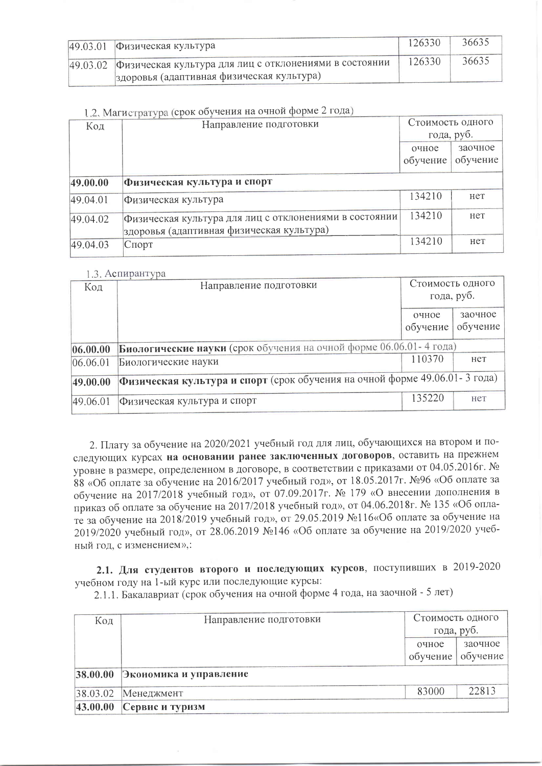| 49.03.01 Физическая культура                                    | 126330 | 36635 |
|-----------------------------------------------------------------|--------|-------|
| 49.03.02 Физическая культура для лиц с отклонениями в состоянии | 126330 | 36635 |
| здоровья (адаптивная физическая культура)                       |        |       |

## 1.2. Магистратура (срок обучения на очной форме 2 года)

| $\frac{1}{2}$<br>Код | Направление подготовки                                 | Стоимость одного<br>года, руб. |          |
|----------------------|--------------------------------------------------------|--------------------------------|----------|
|                      |                                                        |                                |          |
|                      |                                                        | очное                          | заочное  |
|                      |                                                        | обучение                       | обучение |
| 49.00.00             | Физическая культура и спорт                            |                                |          |
| 49.04.01             | Физическая культура                                    | 134210                         | Her      |
| 49.04.02             | Физическая культура для лиц с отклонениями в состоянии | 134210                         | нет      |
|                      | здоровья (адаптивная физическая культура)              |                                |          |
| 49.04.03             | Спорт                                                  | 134210                         | нет      |

#### 13 ACTUDAHTVDA

| Код      | $1.011$ availabout $1.001$<br>Направление подготовки                       | Стоимость одного<br>года, руб. |          |  |
|----------|----------------------------------------------------------------------------|--------------------------------|----------|--|
|          |                                                                            | очное                          | заочное  |  |
|          |                                                                            | обучение                       | обучение |  |
| 06.00.00 | Биологические науки (срок обучения на очной форме 06.06.01-4 года)         |                                |          |  |
| 06.06.01 | Биологические науки                                                        | 110370                         | нет      |  |
| 49.00.00 | Физическая культура и спорт (срок обучения на очной форме 49.06.01-3 года) |                                |          |  |
| 49.06.01 | Физическая культура и спорт                                                | 135220                         | Het      |  |

2. Плату за обучение на 2020/2021 учебный год для лиц, обучающихся на втором и последующих курсах на основании ранее заключенных договоров, оставить на прежнем уровне в размере, определенном в договоре, в соответствии с приказами от 04.05.2016г. № 88 «Об оплате за обучение на 2016/2017 учебный год», от 18.05.2017г. №96 «Об оплате за обучение на 2017/2018 учебный год», от 07.09.2017г. № 179 «О внесении дополнения в приказ об оплате за обучение на 2017/2018 учебный год», от 04.06.2018г. № 135 «Об оплате за обучение на 2018/2019 учебный год», от 29.05.2019 №116«Об оплате за обучение на 2019/2020 учебный год», от 28.06.2019 №146 «Об оплате за обучение на 2019/2020 учебный год, с изменением»,:

2.1. Для студентов второго и последующих курсов, поступивших в 2019-2020 учебном году на 1-ый курс или последующие курсы:

2.1.1. Бакалавриат (срок обучения на очной форме 4 года, на заочной - 5 лет)

| Код | Направление подготовки          | года, руб.           | Стоимость одного    |
|-----|---------------------------------|----------------------|---------------------|
|     |                                 | очное<br>$o6$ учение | заочное<br>обучение |
|     | 38.00.00 Экономика и управление |                      |                     |
|     | 38.03.02 Менеджмент             | 83000                | 22813               |
|     | $ 43.00.00 $ Сервис и туризм    |                      |                     |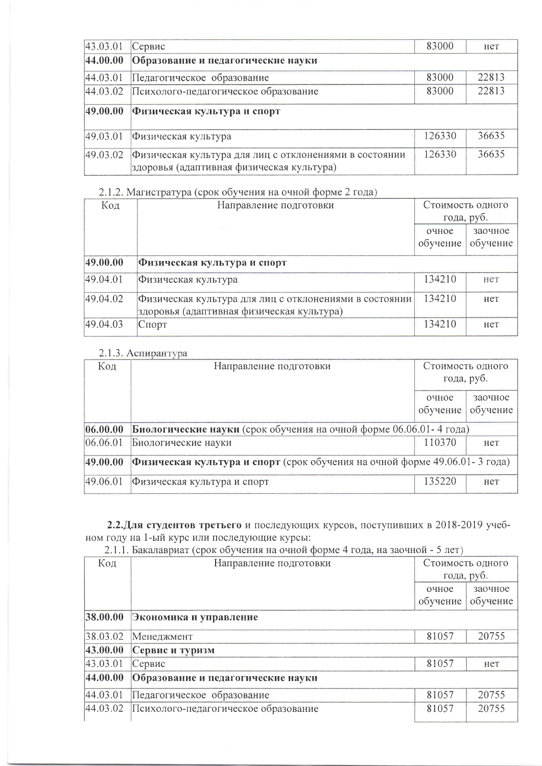| 43.03.01 | Сервис                                                                                              | 83000  | Her   |
|----------|-----------------------------------------------------------------------------------------------------|--------|-------|
| 44.00.00 | Образование и педагогические науки                                                                  |        |       |
| 44.03.01 | Педагогическое образование                                                                          | 83000  | 22813 |
| 44.03.02 | Психолого-педагогическое образование                                                                | 83000  | 22813 |
| 49.00.00 | Физическая культура и спорт                                                                         |        |       |
| 49.03.01 | Физическая культура                                                                                 | 126330 | 36635 |
| 49.03.02 | Физическая культура для лиц с отклонениями в состоянии<br>здоровья (адаптивная физическая культура) | 126330 | 36635 |

# 2.1.2. Магистратура (срок обучения на очной форме 2 года)

| Код      | Направление подготовки                                                                              | Стоимость одного |          |
|----------|-----------------------------------------------------------------------------------------------------|------------------|----------|
|          |                                                                                                     | года, руб.       |          |
|          |                                                                                                     | очное            | заочное  |
|          |                                                                                                     | обучение         | обучение |
| 49.00.00 | Физическая культура и спорт                                                                         |                  |          |
| 49.04.01 | Физическая культура                                                                                 | 134210           | нет      |
| 49.04.02 | Физическая культура для лиц с отклонениями в состоянии<br>здоровья (адаптивная физическая культура) | 134210           | Het      |
| 49.04.03 | Спорт                                                                                               | 134210           | Het      |

## 2.1.3. Аспирантура

| Код      | Направление подготовки                                                     | Стоимость одного<br>года, руб. |                     |  |
|----------|----------------------------------------------------------------------------|--------------------------------|---------------------|--|
|          |                                                                            | очное<br>обучение              | заочное<br>обучение |  |
| 06.00.00 | Биологические науки (срок обучения на очной форме 06.06.01 - 4 года)       |                                |                     |  |
| 06.06.01 | Биологические науки                                                        | 110370                         | HeT                 |  |
| 49.00.00 | Физическая культура и спорт (срок обучения на очной форме 49.06.01-3 года) |                                |                     |  |
| 49.06.01 | Физическая культура и спорт                                                | 135220                         | нет                 |  |

# 2.2. Для студентов третьего и последующих курсов, поступивших в 2018-2019 учебном году на 1-ый курс или последующие курсы:

2.1.1. Бакалавриат (срок обучения на очной форме 4 года, на заочной - 5 лет)

| Код      | Направление подготовки               |          | Стоимость одного<br>года, руб. |
|----------|--------------------------------------|----------|--------------------------------|
|          |                                      | очное    | заочное                        |
|          |                                      | обучение | обучение                       |
| 38.00.00 | Экономика и управление               |          |                                |
| 38.03.02 | Менеджмент                           | 81057    | 20755                          |
| 43.00.00 | Сервис и туризм                      |          |                                |
| 43.03.01 | Сервис                               | 81057    | нет                            |
| 44.00.00 | Образование и педагогические науки   |          |                                |
| 44.03.01 | Педагогическое образование           | 81057    | 20755                          |
| 44.03.02 | Психолого-педагогическое образование | 81057    | 20755                          |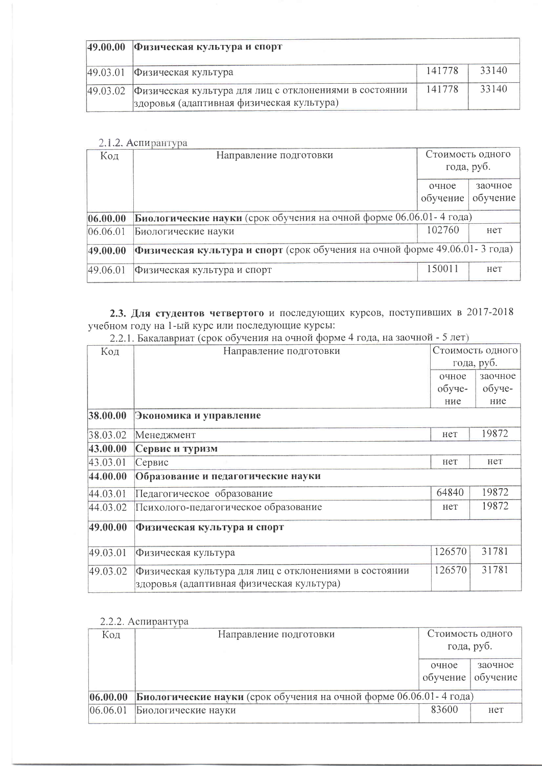|          | 49.00.00  Физическая культура и спорт                                                                        |        |       |
|----------|--------------------------------------------------------------------------------------------------------------|--------|-------|
| 49.03.01 | Физическая культура                                                                                          | 141778 | 33140 |
|          | 49.03.02 Физическая культура для лиц с отклонениями в состоянии<br>здоровья (адаптивная физическая культура) | 141778 | 33140 |

### 2.1.2. Аспирантура

| Код      | Направление подготовки                                                       | Стоимость одного<br>года, руб. |                     |
|----------|------------------------------------------------------------------------------|--------------------------------|---------------------|
|          |                                                                              | очное<br>обучение              | заочное<br>обучение |
| 06.00.00 | Биологические науки (срок обучения на очной форме 06.06.01 - 4 года)         |                                |                     |
| 06.06.01 | Биологические науки                                                          | 102760                         | нет                 |
| 49.00.00 | Физическая культура и спорт (срок обучения на очной форме 49.06.01 - 3 года) |                                |                     |
| 49.06.01 | Физическая культура и спорт                                                  | 150011                         | Het                 |

2.3. Для студентов четвертого и последующих курсов, поступивших в 2017-2018<br>учебном году на 1-ый курс или последующие курсы:<br>2.2.1. Бакалавриат (срок обучения на очной форме 4 года, на заочной - 5 лет)

| Код      | Направление подготовки                                                                              | Стоимость одного<br>года, руб. |         |
|----------|-----------------------------------------------------------------------------------------------------|--------------------------------|---------|
|          |                                                                                                     | очное                          | заочное |
|          |                                                                                                     | обуче-                         | обуче-  |
|          |                                                                                                     | ние                            | ние     |
| 38.00.00 | Экономика и управление                                                                              |                                |         |
| 38.03.02 | Менеджмент                                                                                          | нет                            | 19872   |
| 43.00.00 | Сервис и туризм                                                                                     |                                |         |
| 43.03.01 | Сервис                                                                                              | нет                            | Het     |
| 44.00.00 | Образование и педагогические науки                                                                  |                                |         |
| 44.03.01 | Педагогическое образование                                                                          | 64840                          | 19872   |
| 44.03.02 | Психолого-педагогическое образование                                                                | нет                            | 19872   |
| 49.00.00 | Физическая культура и спорт                                                                         |                                |         |
| 49.03.01 | Физическая культура                                                                                 | 126570                         | 31781   |
| 49.03.02 | Физическая культура для лиц с отклонениями в состоянии<br>здоровья (адаптивная физическая культура) | 126570                         | 31781   |

## 2.2.2. Аспирантура

| Код      | Направление подготовки                                               | Стоимость одного<br>года, руб. |                     |  |  |
|----------|----------------------------------------------------------------------|--------------------------------|---------------------|--|--|
|          |                                                                      | очное<br>обучение              | заочное<br>обучение |  |  |
| 06.00.00 | Биологические науки (срок обучения на очной форме 06.06.01 - 4 года) |                                |                     |  |  |
| 06.06.01 | Биологические науки                                                  | 83600                          | нет                 |  |  |